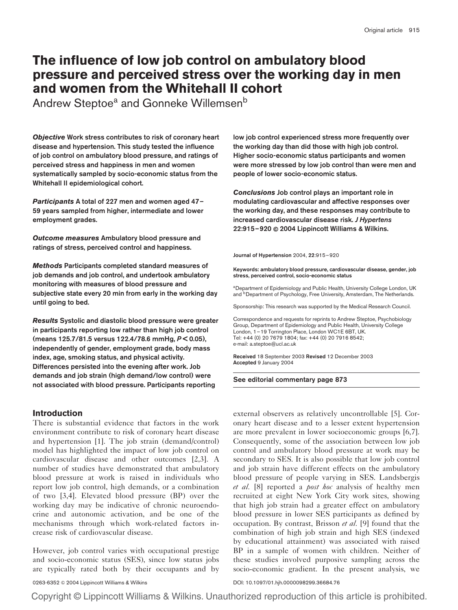# The influence of low job control on ambulatory blood pressure and perceived stress over the working day in men and women from the Whitehall II cohort

Andrew Steptoe<sup>a</sup> and Gonneke Willemsen<sup>b</sup>

Objective Work stress contributes to risk of coronary heart disease and hypertension. This study tested the influence of job control on ambulatory blood pressure, and ratings of perceived stress and happiness in men and women systematically sampled by socio-economic status from the Whitehall II epidemiological cohort.

Participants A total of 227 men and women aged 47-59 years sampled from higher, intermediate and lower employment grades.

Outcome measures Ambulatory blood pressure and ratings of stress, perceived control and happiness.

Methods Participants completed standard measures of job demands and job control, and undertook ambulatory monitoring with measures of blood pressure and subjective state every 20 min from early in the working day until going to bed.

Results Systolic and diastolic blood pressure were greater in participants reporting low rather than high job control (means 125.7/81.5 versus 122.4/78.6 mmHg,  $P < 0.05$ ), independently of gender, employment grade, body mass index, age, smoking status, and physical activity. Differences persisted into the evening after work. Job demands and job strain (high demand/low control) were not associated with blood pressure. Participants reporting

# **Introduction**

There is substantial evidence that factors in the work environment contribute to risk of coronary heart disease and hypertension [\[1\].](#page-5-0) The job strain (demand/control) model has highlighted the impact of low job control on cardiovascular disease and other outcomes [\[2,3\]](#page-5-0). A number of studies have demonstrated that ambulatory blood pressure at work is raised in individuals who report low job control, high demands, or a combination of two [\[3,4\].](#page-5-0) Elevated blood pressure (BP) over the working day may be indicative of chronic neuroendocrine and autonomic activation, and be one of the mechanisms through which work-related factors increase risk of cardiovascular disease.

However, job control varies with occupational prestige and socio-economic status (SES), since low status jobs are typically rated both by their occupants and by

low job control experienced stress more frequently over the working day than did those with high job control. Higher socio-economic status participants and women were more stressed by low job control than were men and people of lower socio-economic status.

Conclusions Job control plays an important role in modulating cardiovascular and affective responses over the working day, and these responses may contribute to increased cardiovascular disease risk. J Hypertens 22:915–920 & 2004 Lippincott Williams & Wilkins.

#### Journal of Hypertension 2004, 22:915–920

Keywords: ambulatory blood pressure, cardiovascular disease, gender, job stress, perceived control, socio-economic status

aDepartment of Epidemiology and Public Health, University College London, UK and <sup>b</sup>Department of Psychology, Free University, Amsterdam, The Netherlands.

Sponsorship: This research was supported by the Medical Research Council.

Correspondence and requests for reprints to Andrew Steptoe, Psychobiology Group, Department of Epidemiology and Public Health, University College London, 1–19 Torrington Place, London WC1E 6BT, UK. Tel: +44 (0) 20 7679 1804; fax: +44 (0) 20 7916 8542; e-mail: a.steptoe@ucl.ac.uk

Received 18 September 2003 Revised 12 December 2003 Accepted 9 January 2004

See editorial commentary page 873

external observers as relatively uncontrollable [\[5\]](#page-5-0). Coronary heart disease and to a lesser extent hypertension are more prevalent in lower socioeconomic groups [\[6,7\]](#page-5-0). Consequently, some of the association between low job control and ambulatory blood pressure at work may be secondary to SES. It is also possible that low job control and job strain have different effects on the ambulatory blood pressure of people varying in SES. Landsbergis et al. [\[8\]](#page-5-0) reported a *post hoc* analysis of healthy men recruited at eight New York City work sites, showing that high job strain had a greater effect on ambulatory blood pressure in lower SES participants as defined by occupation. By contrast, Brisson *et al.* [\[9\]](#page-5-0) found that the combination of high job strain and high SES (indexed by educational attainment) was associated with raised BP in a sample of women with children. Neither of these studies involved purposive sampling across the socio-economic gradient. In the present analysis, we

0263-6352 @ 2004 Lippincott Williams & Wilkins **DOI: 10.1097/01.hjh.0000098299.36684.76**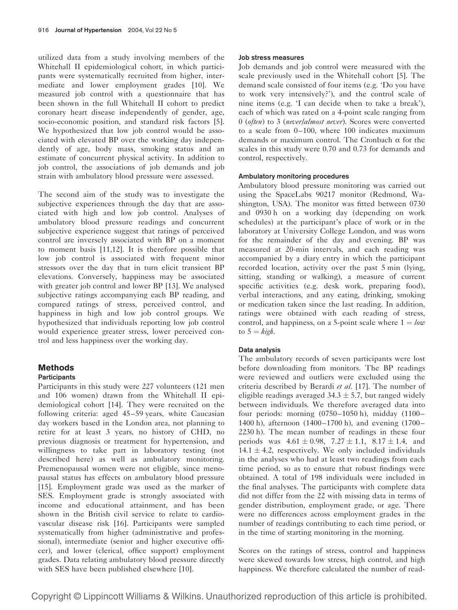utilized data from a study involving members of the Whitehall II epidemiological cohort, in which participants were systematically recruited from higher, intermediate and lower employment grades [\[10\]](#page-5-0). We measured job control with a questionnaire that has been shown in the full Whitehall II cohort to predict coronary heart disease independently of gender, age, socio-economic position, and standard risk factors [\[5\]](#page-5-0). We hypothesized that low job control would be associated with elevated BP over the working day independently of age, body mass, smoking status and an estimate of concurrent physical activity. In addition to job control, the associations of job demands and job strain with ambulatory blood pressure were assessed.

The second aim of the study was to investigate the subjective experiences through the day that are associated with high and low job control. Analyses of ambulatory blood pressure readings and concurrent subjective experience suggest that ratings of perceived control are inversely associated with BP on a moment to moment basis [\[11,12\]](#page-5-0). It is therefore possible that low job control is associated with frequent minor stressors over the day that in turn elicit transient BP elevations. Conversely, happiness may be associated with greater job control and lower BP [\[13\]](#page-5-0). We analysed subjective ratings accompanying each BP reading, and compared ratings of stress, perceived control, and happiness in high and low job control groups. We hypothesized that individuals reporting low job control would experience greater stress, lower perceived control and less happiness over the working day.

# Methods

### **Participants**

Participants in this study were 227 volunteers (121 men and 106 women) drawn from the Whitehall II epidemiological cohort [\[14\]](#page-5-0). They were recruited on the following criteria: aged 45–59 years, white Caucasian day workers based in the London area, not planning to retire for at least 3 years, no history of CHD, no previous diagnosis or treatment for hypertension, and willingness to take part in laboratory testing (not described here) as well as ambulatory monitoring. Premenopausal women were not eligible, since menopausal status has effects on ambulatory blood pressure [\[15\]](#page-5-0). Employment grade was used as the marker of SES. Employment grade is strongly associated with income and educational attainment, and has been shown in the British civil service to relate to cardiovascular disease risk [\[16\]](#page-5-0). Participants were sampled systematically from higher (administrative and professional), intermediate (senior and higher executive officer), and lower (clerical, office support) employment grades. Data relating ambulatory blood pressure directly with SES have been published elsewhere [\[10\].](#page-5-0)

#### Job stress measures

Job demands and job control were measured with the scale previously used in the Whitehall cohort [\[5\]](#page-5-0). The demand scale consisted of four items (e.g. 'Do you have to work very intensively?'), and the control scale of nine items (e.g. 'I can decide when to take a break'), each of which was rated on a 4-point scale ranging from 0 (often) to 3 (never/almost never). Scores were converted to a scale from 0–100, where 100 indicates maximum demands or maximum control. The Cronbach  $\alpha$  for the scales in this study were 0.70 and 0.73 for demands and control, respectively.

#### Ambulatory monitoring procedures

Ambulatory blood pressure monitoring was carried out using the SpaceLabs 90217 monitor (Redmond, Washington, USA). The monitor was fitted between 0730 and 0930 h on a working day (depending on work schedules) at the participant's place of work or in the laboratory at University College London, and was worn for the remainder of the day and evening. BP was measured at 20-min intervals, and each reading was accompanied by a diary entry in which the participant recorded location, activity over the past 5 min (lying, sitting, standing or walking), a measure of current specific activities (e.g. desk work, preparing food), verbal interactions, and any eating, drinking, smoking or medication taken since the last reading. In addition, ratings were obtained with each reading of stress, control, and happiness, on a 5-point scale where  $1 = \text{low}$ to  $5 = high$ .

#### Data analysis

The ambulatory records of seven participants were lost before downloading from monitors. The BP readings were reviewed and outliers were excluded using the criteria described by Berardi et al. [\[17\]](#page-5-0). The number of eligible readings averaged  $34.3 \pm 5.7$ , but ranged widely between individuals. We therefore averaged data into four periods: morning (0750–1050 h), midday (1100– 1400 h), afternoon (1400–1700 h), and evening (1700– 2230 h). The mean number of readings in these four periods was  $4.61 \pm 0.98$ ,  $7.27 \pm 1.1$ ,  $8.17 \pm 1.4$ , and  $14.1 \pm 4.2$ , respectively. We only included individuals in the analyses who had at least two readings from each time period, so as to ensure that robust findings were obtained. A total of 198 individuals were included in the final analyses. The participants with complete data did not differ from the 22 with missing data in terms of gender distribution, employment grade, or age. There were no differences across employment grades in the number of readings contributing to each time period, or in the time of starting monitoring in the morning.

Scores on the ratings of stress, control and happiness were skewed towards low stress, high control, and high happiness. We therefore calculated the number of read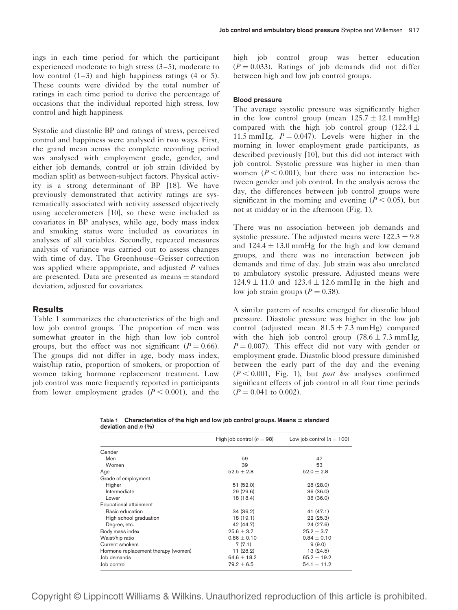ings in each time period for which the participant experienced moderate to high stress (3–5), moderate to low control (1–3) and high happiness ratings (4 or 5). These counts were divided by the total number of ratings in each time period to derive the percentage of occasions that the individual reported high stress, low control and high happiness.

Systolic and diastolic BP and ratings of stress, perceived control and happiness were analysed in two ways. First, the grand mean across the complete recording period was analysed with employment grade, gender, and either job demands, control or job strain (divided by median split) as between-subject factors. Physical activity is a strong determinant of BP [\[18\].](#page-5-0) We have previously demonstrated that activity ratings are systematically associated with activity assessed objectively using accelerometers [\[10\],](#page-5-0) so these were included as covariates in BP analyses, while age, body mass index and smoking status were included as covariates in analyses of all variables. Secondly, repeated measures analysis of variance was carried out to assess changes with time of day. The Greenhouse–Geisser correction was applied where appropriate, and adjusted  $P$  values are presented. Data are presented as means  $\pm$  standard deviation, adjusted for covariates.

#### **Results**

Table 1 summarizes the characteristics of the high and low job control groups. The proportion of men was somewhat greater in the high than low job control groups, but the effect was not significant ( $P = 0.66$ ). The groups did not differ in age, body mass index, waist/hip ratio, proportion of smokers, or proportion of women taking hormone replacement treatment. Low job control was more frequently reported in participants from lower employment grades  $(P < 0.001)$ , and the high job control group was better education  $(P = 0.033)$ . Ratings of job demands did not differ between high and low job control groups.

#### Blood pressure

The average systolic pressure was significantly higher in the low control group (mean  $125.7 \pm 12.1$  mmHg) compared with the high job control group (122.4  $\pm$ 11.5 mmHg,  $P = 0.047$ ). Levels were higher in the morning in lower employment grade participants, as described previously [\[10\],](#page-5-0) but this did not interact with job control. Systolic pressure was higher in men than women ( $P < 0.001$ ), but there was no interaction between gender and job control. In the analysis across the day, the differences between job control groups were significant in the morning and evening ( $P < 0.05$ ), but not at midday or in the afternoon (Fig[. 1\)](#page-3-0).

There was no association between job demands and systolic pressure. The adjusted means were  $122.3 \pm 9.8$ and  $124.4 \pm 13.0$  mmHg for the high and low demand groups, and there was no interaction between job demands and time of day. Job strain was also unrelated to ambulatory systolic pressure. Adjusted means were  $124.9 \pm 11.0$  and  $123.4 \pm 12.6$  mmHg in the high and low job strain groups ( $P = 0.38$ ).

A similar pattern of results emerged for diastolic blood pressure. Diastolic pressure was higher in the low job control (adjusted mean  $81.5 \pm 7.3$  mmHg) compared with the high job control group  $(78.6 \pm 7.3 \text{ mmHg})$ ,  $P = 0.007$ ). This effect did not vary with gender or employment grade. Diastolic blood pressure diminished between the early part of the day and the evening  $(P < 0.001$ , Fig. [1\)](#page-3-0), but *post hoc* analyses confirmed significant effects of job control in all four time periods  $(P = 0.041$  to 0.002).

Table 1 Characteristics of the high and low job control groups. Means  $\pm$  standard deviation and  $n$  (%)

|                                     | High job control $(n = 98)$ | Low job control ( $n = 100$ ) |
|-------------------------------------|-----------------------------|-------------------------------|
| Gender                              |                             |                               |
| Men                                 | 59                          | 47                            |
| Women                               | 39                          | 53                            |
| Age                                 | $52.5 + 2.8$                | $52.0 \pm 2.8$                |
| Grade of employment                 |                             |                               |
| Higher                              | 51(52.0)                    | 28 (28.0)                     |
| Intermediate                        | 29(29.6)                    | 36(36.0)                      |
| Lower                               | 18 (18.4)                   | 36(36.0)                      |
| Educational attainment              |                             |                               |
| Basic education                     | 34(36.2)                    | 41 (47.1)                     |
| High school graduation              | 18(19.1)                    | 22(25.3)                      |
| Degree, etc.                        | 42 (44.7)                   | 24 (27.6)                     |
| Body mass index                     | $25.6 + 3.7$                | $25.2 + 3.7$                  |
| Waist/hip ratio                     | $0.86 + 0.10$               | $0.84 + 0.10$                 |
| Current smokers                     | 7(7.1)                      | 9(9.0)                        |
| Hormone replacement therapy (women) | 11 (28.2)                   | 13 (24.5)                     |
| Job demands                         | $64.6 \pm 18.2$             | $65.2 \pm 19.2$               |
| Job control                         | $79.2 + 6.5$                | $54.1 \pm 11.2$               |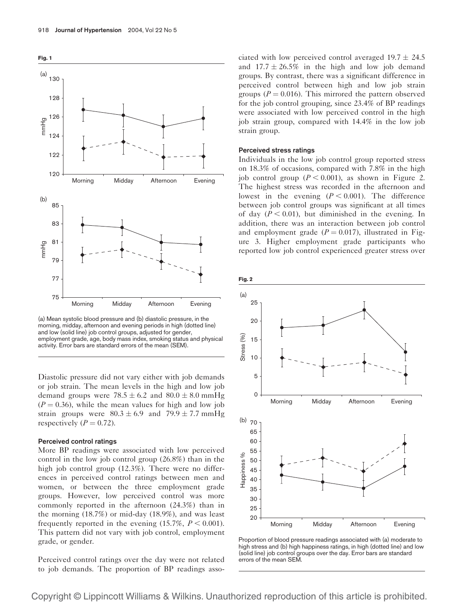<span id="page-3-0"></span>

(a) Mean systolic blood pressure and (b) diastolic pressure, in the morning, midday, afternoon and evening periods in high (dotted line) and low (solid line) job control groups, adjusted for gender, employment grade, age, body mass index, smoking status and physical activity. Error bars are standard errors of the mean (SEM).

Diastolic pressure did not vary either with job demands or job strain. The mean levels in the high and low job demand groups were  $78.5 \pm 6.2$  and  $80.0 \pm 8.0$  mmHg  $(P = 0.36)$ , while the mean values for high and low job strain groups were  $80.3 \pm 6.9$  and  $79.9 \pm 7.7$  mmHg respectively  $(P = 0.72)$ .

#### Perceived control ratings

More BP readings were associated with low perceived control in the low job control group (26.8%) than in the high job control group (12.3%). There were no differences in perceived control ratings between men and women, or between the three employment grade groups. However, low perceived control was more commonly reported in the afternoon (24.3%) than in the morning (18.7%) or mid-day (18.9%), and was least frequently reported in the evening  $(15.7\%, P < 0.001)$ . This pattern did not vary with job control, employment grade, or gender.

Perceived control ratings over the day were not related to job demands. The proportion of BP readings associated with low perceived control averaged  $19.7 \pm 24.5$ and  $17.7 \pm 26.5\%$  in the high and low job demand groups. By contrast, there was a significant difference in perceived control between high and low job strain groups ( $P = 0.016$ ). This mirrored the pattern observed for the job control grouping, since 23.4% of BP readings were associated with low perceived control in the high job strain group, compared with 14.4% in the low job strain group.

#### Perceived stress ratings

Individuals in the low job control group reported stress on 18.3% of occasions, compared with 7.8% in the high job control group  $(P < 0.001)$ , as shown in Figure 2. The highest stress was recorded in the afternoon and lowest in the evening  $(P < 0.001)$ . The difference between job control groups was significant at all times of day  $(P < 0.01)$ , but diminished in the evening. In addition, there was an interaction between job control and employment grade ( $P = 0.017$ ), illustrated in Figure [3.](#page-4-0) Higher employment grade participants who reported low job control experienced greater stress over





Proportion of blood pressure readings associated with (a) moderate to high stress and (b) high happiness ratings, in high (dotted line) and low (solid line) job control groups over the day. Error bars are standard errors of the mean SEM.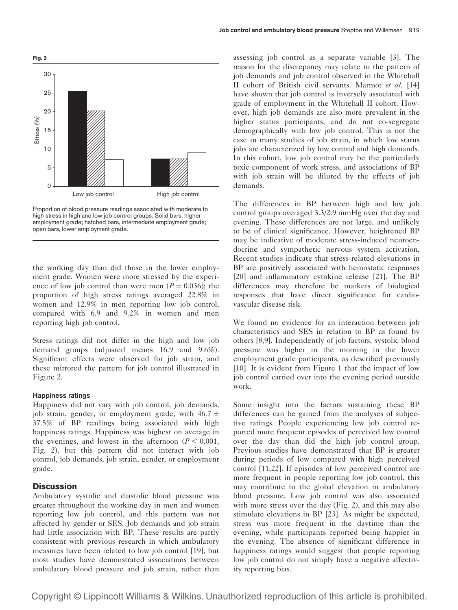<span id="page-4-0"></span>

Proportion of blood pressure readings associated with moderate to high stress in high and low job control groups. Solid bars, higher employment grade; hatched bars, intermediate employment grade; open bars, lower employment grade.

the working day than did those in the lower employment grade. Women were more stressed by the experience of low job control than were men ( $P = 0.036$ ); the proportion of high stress ratings averaged 22.8% in women and 12.9% in men reporting low job control, compared with 6.9 and 9.2% in women and men reporting high job control.

Stress ratings did not differ in the high and low job demand groups (adjusted means 16.9 and 9.6%). Significant effects were observed for job strain, and these mirrored the pattern for job control illustrated in Figur[e 2.](#page-3-0)

#### Happiness ratings

Happiness did not vary with job control, job demands, job strain, gender, or employment grade, with  $46.7 \pm$ 37.5% of BP readings being associated with high happiness ratings. Happiness was highest on average in the evenings, and lowest in the afternoon ( $P < 0.001$ , Fig. [2\)](#page-3-0), but this pattern did not interact with job control, job demands, job strain, gender, or employment grade.

## **Discussion**

Ambulatory systolic and diastolic blood pressure was greater throughout the working day in men and women reporting low job control, and this pattern was not affected by gender or SES. Job demands and job strain had little association with BP. These results are partly consistent with previous research in which ambulatory measures have been related to low job control [\[19\],](#page-5-0) but most studies have demonstrated associations between ambulatory blood pressure and job strain, rather than

assessing job control as a separate variable [\[3\]](#page-5-0). The reason for the discrepancy may relate to the pattern of job demands and job control observed in the Whitehall II cohort of British civil servants. Marmot et al. [\[14\]](#page-5-0) have shown that job control is inversely associated with grade of employment in the Whitehall II cohort. However, high job demands are also more prevalent in the higher status participants, and do not co-segregate demographically with low job control. This is not the case in many studies of job strain, in which low status jobs are characterized by low control and high demands. In this cohort, low job control may be the particularly toxic component of work stress, and associations of BP with job strain will be diluted by the effects of job demands.

The differences in BP between high and low job control groups averaged 3.3/2.9 mmHg over the day and evening. These differences are not large, and unlikely to be of clinical significance. However, heightened BP may be indicative of moderate stress-induced neuroendocrine and sympathetic nervous system activation. Recent studies indicate that stress-related elevations in BP are positively associated with hemostatic responses [\[20\]](#page-5-0) and inflammatory cytokine release [\[21\]](#page-5-0). The BP differences may therefore be markers of biological responses that have direct significance for cardiovascular disease risk.

We found no evidence for an interaction between job characteristics and SES in relation to BP as found by others [\[8,9\]](#page-5-0). Independently of job factors, systolic blood pressure was higher in the morning in the lower employment grade participants, as described previously [\[10\]](#page-5-0). It is evident from Figure [1](#page-3-0) that the impact of low job control carried over into the evening period outside work.

Some insight into the factors sustaining these BP differences can be gained from the analyses of subjective ratings. People experiencing low job control reported more frequent episodes of perceived low control over the day than did the high job control group. Previous studies have demonstrated that BP is greater during periods of low compared with high perceived control [\[11,22\].](#page-5-0) If episodes of low perceived control are more frequent in people reporting low job control, this may contribute to the global elevation in ambulatory blood pressure. Low job control was also associated with more stress over the day (Fig. [2\)](#page-3-0), and this may also stimulate elevations in BP [\[23\]](#page-5-0). As might be expected, stress was more frequent in the daytime than the evening, while participants reported being happier in the evening. The absence of significant difference in happiness ratings would suggest that people reporting low job control do not simply have a negative affectivity reporting bias.